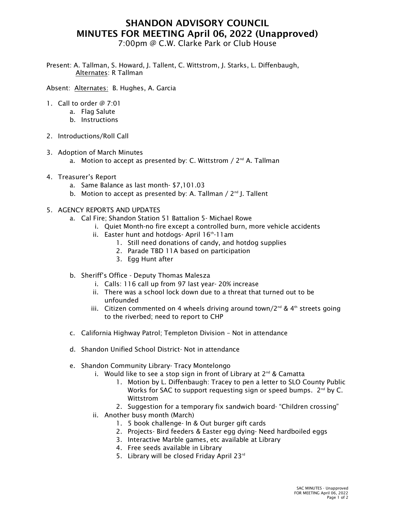## SHANDON ADVISORY COUNCIL MINUTES FOR MEETING April 06, 2022 (Unapproved)

7:00pm @ C.W. Clarke Park or Club House

Present: A. Tallman, S. Howard, J. Tallent, C. Wittstrom, J. Starks, L. Diffenbaugh, Alternates: R Tallman

Absent: Alternates: B. Hughes, A. Garcia

- 1. Call to order @ 7:01
	- a. Flag Salute
	- b. Instructions
- 2. Introductions/Roll Call
- 3. Adoption of March Minutes
	- a. Motion to accept as presented by: C. Wittstrom  $/2^{nd}$  A. Tallman
- 4. Treasurer's Report
	- a. Same Balance as last month- \$7,101.03
	- b. Motion to accept as presented by: A. Tallman  $/$  2<sup>nd</sup> J. Tallent
- 5. AGENCY REPORTS AND UPDATES
	- a. Cal Fire; Shandon Station 51 Battalion 5- Michael Rowe
		- i. Quiet Month-no fire except a controlled burn, more vehicle accidents
		- ii. Easter hunt and hotdogs-April  $16<sup>th</sup>$ -11am
			- 1. Still need donations of candy, and hotdog supplies
			- 2. Parade TBD 11A based on participation
			- 3. Egg Hunt after
	- b. Sheriff's Office Deputy Thomas Malesza
		- i. Calls: 116 call up from 97 last year- 20% increase
		- ii. There was a school lock down due to a threat that turned out to be unfounded
		- iii. Citizen commented on 4 wheels driving around town/2<sup>nd</sup> & 4<sup>th</sup> streets going to the riverbed; need to report to CHP
	- c. California Highway Patrol; Templeton Division Not in attendance
	- d. Shandon Unified School District- Not in attendance
	- e. Shandon Community Library- Tracy Montelongo
		- i. Would like to see a stop sign in front of Library at  $2^{nd}$  & Camatta
			- 1. Motion by L. Diffenbaugh: Tracey to pen a letter to SLO County Public Works for SAC to support requesting sign or speed bumps.  $2^{nd}$  by C. Wittstrom
			- 2. Suggestion for a temporary fix sandwich board- "Children crossing"
		- ii. Another busy month (March)
			- 1. 5 book challenge- In & Out burger gift cards
			- 2. Projects- Bird feeders & Easter egg dying- Need hardboiled eggs
			- 3. Interactive Marble games, etc available at Library
			- 4. Free seeds available in Library
			- 5. Library will be closed Friday April 23rd